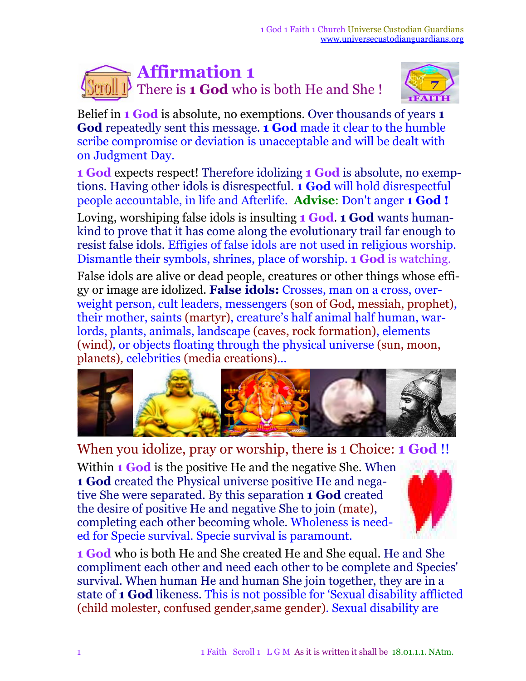## **Affirmation 1** There is **1 God** who is both He and She !



Belief in **1 God** is absolute, no exemptions. Over thousands of years **1 God** repeatedly sent this message. **1 God** made it clear to the humble scribe compromise or deviation is unacceptable and will be dealt with on Judgment Day.

**1 God** expects respect! Therefore idolizing **1 God** is absolute, no exemptions. Having other idols is disrespectful. **1 God** will hold disrespectful people accountable, in life and Afterlife. **Advise**: Don't anger **1 God !**

Loving, worshiping false idols is insulting **1 God**. **1 God** wants humankind to prove that it has come along the evolutionary trail far enough to resist false idols. Effigies of false idols are not used in religious worship. Dismantle their symbols, shrines, place of worship. **1 God** is watching.

False idols are alive or dead people, creatures or other things whose effigy or image are idolized. **False idols:** Crosses, man on a cross, overweight person, cult leaders, messengers (son of God, messiah, prophet), their mother, saints (martyr), creature's half animal half human, warlords, plants, animals, landscape (caves, rock formation), elements (wind)*,* or objects floating through the physical universe (sun, moon, planets)*,* celebrities (media creations)*...*



## When you idolize, pray or worship, there is 1 Choice: **1 God** !!

Within **1 God** is the positive He and the negative She. When **1 God** created the Physical universe positive He and negative She were separated. By this separation **1 God** created the desire of positive He and negative She to join (mate), completing each other becoming whole. Wholeness is needed for Specie survival. Specie survival is paramount.



**1 God** who is both He and She created He and She equal. He and She compliment each other and need each other to be complete and Species' survival. When human He and human She join together, they are in a state of **1 God** likeness. This is not possible for 'Sexual disability afflicted (child molester, confused gender,same gender). Sexual disability are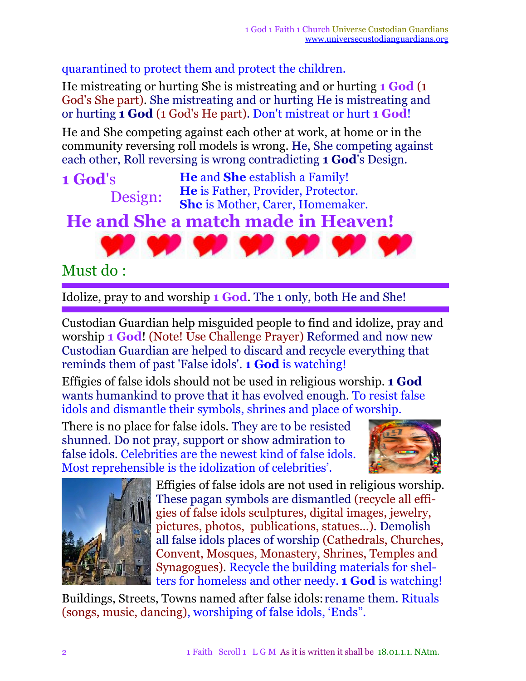quarantined to protect them and protect the children.

He mistreating or hurting She is mistreating and or hurting **1 God** (1 God's She part). She mistreating and or hurting He is mistreating and or hurting **1 God** (1 God's He part). Don't mistreat or hurt **1 God**!

He and She competing against each other at work, at home or in the community reversing roll models is wrong. He, She competing against each other, Roll reversing is wrong contradicting **1 God**'s Design.

**1 God**'s Design: **He** and **She** establish a Family! **He** is Father, Provider, Protector. **She** is Mother, Carer, Homemaker. **He and She a match made in Heaven!**

## Must do :

Idolize, pray to and worship **1 God**. The 1 only, both He and She!

Custodian Guardian help misguided people to find and idolize, pray and worship **1 God**! (Note! Use Challenge Prayer) Reformed and now new Custodian Guardian are helped to discard and recycle everything that reminds them of past 'False idols'. **1 God** is watching!

Effigies of false idols should not be used in religious worship. **1 God** wants humankind to prove that it has evolved enough. To resist false idols and dismantle their symbols, shrines and place of worship.

There is no place for false idols. They are to be resisted shunned. Do not pray, support or show admiration to false idols. Celebrities are the newest kind of false idols. Most reprehensible is the idolization of celebrities'.





Effigies of false idols are not used in religious worship. These pagan symbols are dismantled (recycle all effigies of false idols sculptures, digital images, jewelry, pictures, photos, publications, statues...)*.* Demolish all false idols places of worship (Cathedrals, Churches, Convent, Mosques, Monastery, Shrines, Temples and Synagogues). Recycle the building materials for shelters for homeless and other needy. **1 God** is watching!

Buildings, Streets, Towns named after false idols: rename them. Rituals (songs, music, dancing), worshiping of false idols, 'Ends".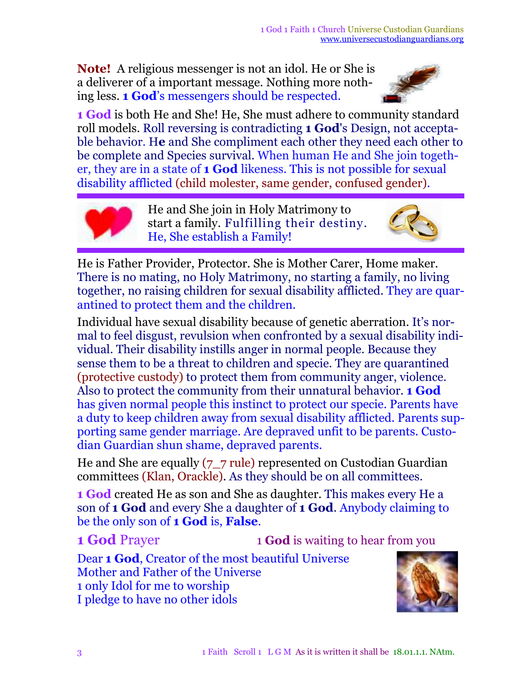**Note!** A religious messenger is not an idol. He or She is a deliverer of a important message. Nothing more nothing less. **1 God**'s messengers should be respected.



**1 God** is both He and She! He, She must adhere to community standard roll models. Roll reversing is contradicting **1 God**'s Design, not acceptable behavior. H**e** and She compliment each other they need each other to be complete and Species survival. When human He and She join together, they are in a state of **1 God** likeness. This is not possible for sexual disability afflicted (child molester, same gender, confused gender).



He and She join in Holy Matrimony to start a family. Fulfilling their destiny. He, She establish a Family!



He is Father Provider, Protector. She is Mother Carer, Home maker. There is no mating, no Holy Matrimony, no starting a family, no living together, no raising children for sexual disability afflicted. They are quarantined to protect them and the children.

Individual have sexual disability because of genetic aberration. It's normal to feel disgust, revulsion when confronted by a sexual disability individual. Their disability instills anger in normal people. Because they sense them to be a threat to children and specie. They are quarantined (protective custody) to protect them from community anger, violence. Also to protect the community from their unnatural behavior. **1 God** has given normal people this instinct to protect our specie. Parents have a duty to keep children away from sexual disability afflicted. Parents supporting same gender marriage. Are depraved unfit to be parents. Custodian Guardian shun shame, depraved parents.

He and She are equally (7\_7 rule) represented on Custodian Guardian committees (Klan, Orackle). As they should be on all committees.

**1 God** created He as son and She as daughter. This makes every He a son of **1 God** and every She a daughter of **1 God**. Anybody claiming to be the only son of **1 God** is, **False**.

**1 God** Prayer 1 **God** is waiting to hear from you

Dear **1 God**, Creator of the most beautiful Universe Mother and Father of the Universe 1 only Idol for me to worship I pledge to have no other idols